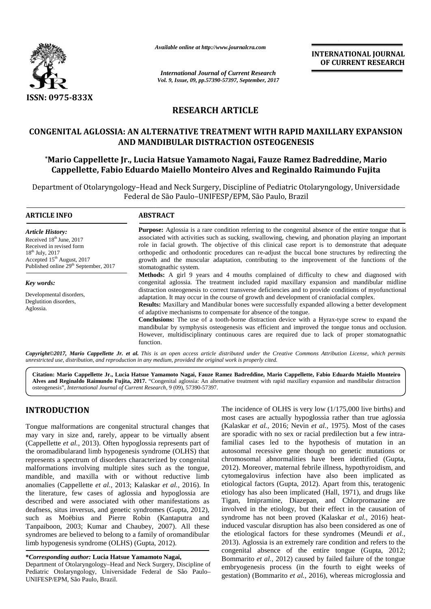

*Available online at http://www.journalcra.com*

**INTERNATIONAL JOURNAL OF CURRENT RESEARCH**

# **RESEARCH ARTICLE**

## **CONGENITAL AGLOSSIA: AN ALTERNATIVE TREATMENT WITH RAPID MAXILLARY EXPANSION AND MANDIBULAR DISTRACTION OSTEOGENESIS**

## **\*Mario Cappellette Jr., Lucia Hatsue Yamamoto Nagai, Fauze Ramez Badreddine, Mario Cappellette, Fabio Eduardo Maiello Monteiro Alves and Reginaldo Raimundo Fujita**

|                                                                                                                                                                                                                                                                                                                                                                                                                                                                                                                                                                                                                                                                                                                                                                                                                                                                                                                                                      | <b>INTERNATIONAL JOURNAL</b><br>OF CURRENT RESEARCH                                                                                                                                                                                                                                                                                                                                                                                                                                                                                                                                                                                                                      |                                                                                                                                                                                                                                                                                                                                                                                                                                                                                                                                                                                                                                                                                                                                                                                                                                                                                                                                                                                                                                                 |  |  |
|------------------------------------------------------------------------------------------------------------------------------------------------------------------------------------------------------------------------------------------------------------------------------------------------------------------------------------------------------------------------------------------------------------------------------------------------------------------------------------------------------------------------------------------------------------------------------------------------------------------------------------------------------------------------------------------------------------------------------------------------------------------------------------------------------------------------------------------------------------------------------------------------------------------------------------------------------|--------------------------------------------------------------------------------------------------------------------------------------------------------------------------------------------------------------------------------------------------------------------------------------------------------------------------------------------------------------------------------------------------------------------------------------------------------------------------------------------------------------------------------------------------------------------------------------------------------------------------------------------------------------------------|-------------------------------------------------------------------------------------------------------------------------------------------------------------------------------------------------------------------------------------------------------------------------------------------------------------------------------------------------------------------------------------------------------------------------------------------------------------------------------------------------------------------------------------------------------------------------------------------------------------------------------------------------------------------------------------------------------------------------------------------------------------------------------------------------------------------------------------------------------------------------------------------------------------------------------------------------------------------------------------------------------------------------------------------------|--|--|
|                                                                                                                                                                                                                                                                                                                                                                                                                                                                                                                                                                                                                                                                                                                                                                                                                                                                                                                                                      |                                                                                                                                                                                                                                                                                                                                                                                                                                                                                                                                                                                                                                                                          | <b>International Journal of Current Research</b><br>Vol. 9, Issue, 09, pp.57390-57397, September, 2017                                                                                                                                                                                                                                                                                                                                                                                                                                                                                                                                                                                                                                                                                                                                                                                                                                                                                                                                          |  |  |
| ISSN: 0975-833X                                                                                                                                                                                                                                                                                                                                                                                                                                                                                                                                                                                                                                                                                                                                                                                                                                                                                                                                      |                                                                                                                                                                                                                                                                                                                                                                                                                                                                                                                                                                                                                                                                          |                                                                                                                                                                                                                                                                                                                                                                                                                                                                                                                                                                                                                                                                                                                                                                                                                                                                                                                                                                                                                                                 |  |  |
|                                                                                                                                                                                                                                                                                                                                                                                                                                                                                                                                                                                                                                                                                                                                                                                                                                                                                                                                                      | <b>RESEARCH ARTICLE</b>                                                                                                                                                                                                                                                                                                                                                                                                                                                                                                                                                                                                                                                  |                                                                                                                                                                                                                                                                                                                                                                                                                                                                                                                                                                                                                                                                                                                                                                                                                                                                                                                                                                                                                                                 |  |  |
|                                                                                                                                                                                                                                                                                                                                                                                                                                                                                                                                                                                                                                                                                                                                                                                                                                                                                                                                                      |                                                                                                                                                                                                                                                                                                                                                                                                                                                                                                                                                                                                                                                                          |                                                                                                                                                                                                                                                                                                                                                                                                                                                                                                                                                                                                                                                                                                                                                                                                                                                                                                                                                                                                                                                 |  |  |
|                                                                                                                                                                                                                                                                                                                                                                                                                                                                                                                                                                                                                                                                                                                                                                                                                                                                                                                                                      |                                                                                                                                                                                                                                                                                                                                                                                                                                                                                                                                                                                                                                                                          | CONGENITAL AGLOSSIA: AN ALTERNATIVE TREATMENT WITH RAPID MAXILLARY EXPANSION<br>AND MANDIBULAR DISTRACTION OSTEOGENESIS                                                                                                                                                                                                                                                                                                                                                                                                                                                                                                                                                                                                                                                                                                                                                                                                                                                                                                                         |  |  |
|                                                                                                                                                                                                                                                                                                                                                                                                                                                                                                                                                                                                                                                                                                                                                                                                                                                                                                                                                      |                                                                                                                                                                                                                                                                                                                                                                                                                                                                                                                                                                                                                                                                          | *Mario Cappellette Jr., Lucia Hatsue Yamamoto Nagai, Fauze Ramez Badreddine, Mario<br>Cappellette, Fabio Eduardo Maiello Monteiro Alves and Reginaldo Raimundo Fujita                                                                                                                                                                                                                                                                                                                                                                                                                                                                                                                                                                                                                                                                                                                                                                                                                                                                           |  |  |
|                                                                                                                                                                                                                                                                                                                                                                                                                                                                                                                                                                                                                                                                                                                                                                                                                                                                                                                                                      |                                                                                                                                                                                                                                                                                                                                                                                                                                                                                                                                                                                                                                                                          | Department of Otolaryngology-Head and Neck Surgery, Discipline of Pediatric Otolaryngology, Universidade<br>Federal de São Paulo-UNIFESP/EPM, São Paulo, Brazil                                                                                                                                                                                                                                                                                                                                                                                                                                                                                                                                                                                                                                                                                                                                                                                                                                                                                 |  |  |
| <b>ARTICLE INFO</b>                                                                                                                                                                                                                                                                                                                                                                                                                                                                                                                                                                                                                                                                                                                                                                                                                                                                                                                                  | <b>ABSTRACT</b>                                                                                                                                                                                                                                                                                                                                                                                                                                                                                                                                                                                                                                                          |                                                                                                                                                                                                                                                                                                                                                                                                                                                                                                                                                                                                                                                                                                                                                                                                                                                                                                                                                                                                                                                 |  |  |
| <b>Article History:</b><br>Received 18th June, 2017<br>Received in revised form<br>18 <sup>th</sup> July, 2017<br>Accepted 15 <sup>th</sup> August, 2017<br>Published online 29 <sup>th</sup> September, 2017                                                                                                                                                                                                                                                                                                                                                                                                                                                                                                                                                                                                                                                                                                                                        | Purpose: Aglossia is a rare condition referring to the congenital absence of the entire tongue that is<br>associated with activities such as sucking, swallowing, chewing, and phonation playing an important<br>role in facial growth. The objective of this clinical case report is to demonstrate that adequate<br>orthopedic and orthodontic procedures can re-adjust the buccal bone structures by redirecting the<br>growth and the muscular adaptation, contributing to the improvement of the functions of the<br>stomatognathic system.                                                                                                                         |                                                                                                                                                                                                                                                                                                                                                                                                                                                                                                                                                                                                                                                                                                                                                                                                                                                                                                                                                                                                                                                 |  |  |
| Key words:<br>Developmental disorders,<br>Deglutition disorders,<br>Aglossia.                                                                                                                                                                                                                                                                                                                                                                                                                                                                                                                                                                                                                                                                                                                                                                                                                                                                        | Methods: A girl 9 years and 4 mouths complained of difficulty to chew and diagnosed with<br>congenital aglossia. The treatment included rapid maxillary expansion and mandibular midline<br>distraction osteogenesis to correct transverse deficiencies and to provide conditions of myofunctional<br>adaptation. It may occur in the course of growth and development of craniofacial complex.<br>Results: Maxillary and Mandibular bones were successfully expanded allowing a better development<br>of adaptive mechanisms to compensate for absence of the tongue.<br>Conclusions: The use of a tooth-borne distraction device with a Hyrax-type screw to expand the |                                                                                                                                                                                                                                                                                                                                                                                                                                                                                                                                                                                                                                                                                                                                                                                                                                                                                                                                                                                                                                                 |  |  |
| unrestricted use, distribution, and reproduction in any medium, provided the original work is properly cited.                                                                                                                                                                                                                                                                                                                                                                                                                                                                                                                                                                                                                                                                                                                                                                                                                                        | function.                                                                                                                                                                                                                                                                                                                                                                                                                                                                                                                                                                                                                                                                | mandibular by symphysis osteogenesis was efficient and improved the tongue tonus and occlusion.<br>However, multidisciplinary continuous cares are required due to lack of proper stomatognathic<br>Copyright©2017, Mario Cappellette Jr. et al. This is an open access article distributed under the Creative Commons Attribution License, which permits                                                                                                                                                                                                                                                                                                                                                                                                                                                                                                                                                                                                                                                                                       |  |  |
| osteogenesis", International Journal of Current Research, 9 (09), 57390-57397.                                                                                                                                                                                                                                                                                                                                                                                                                                                                                                                                                                                                                                                                                                                                                                                                                                                                       |                                                                                                                                                                                                                                                                                                                                                                                                                                                                                                                                                                                                                                                                          | Citation: Mario Cappellette Jr., Lucia Hatsue Yamamoto Nagai, Fauze Ramez Badreddine, Mario Cappellette, Fabio Eduardo Maiello Monteiro<br>Alves and Reginaldo Raimundo Fujita, 2017. "Congenital aglossia: An alternative treatment with rapid maxillary expansion and mandibular distraction                                                                                                                                                                                                                                                                                                                                                                                                                                                                                                                                                                                                                                                                                                                                                  |  |  |
| <b>INTRODUCTION</b>                                                                                                                                                                                                                                                                                                                                                                                                                                                                                                                                                                                                                                                                                                                                                                                                                                                                                                                                  |                                                                                                                                                                                                                                                                                                                                                                                                                                                                                                                                                                                                                                                                          | The incidence of OLHS is very low $(1/175,000)$ live births) and                                                                                                                                                                                                                                                                                                                                                                                                                                                                                                                                                                                                                                                                                                                                                                                                                                                                                                                                                                                |  |  |
| Tongue malformations are congenital structural changes that<br>may vary in size and, rarely, appear to be virtually absent<br>(Cappellette et al., 2013). Often hypoglossia represents part of<br>the oromadibularand limb hypogenesis syndrome (OLHS) that<br>represents a spectrum of disorders characterized by congenital<br>malformations involving multiple sites such as the tongue,<br>mandible, and maxilla with or without reductive limb<br>anomalies (Cappellette et al., 2013; Kalaskar et al., 2016). In<br>the literature, few cases of aglossia and hypoglossia are<br>described and were associated with other manifestations as<br>deafness, situs inversus, and genetic syndromes (Gupta, 2012),<br>such as Moëbius and Pierre Robin (Kantaputra and<br>Tanpaiboon, 2003; Kumar and Chaubey, 2007). All these<br>syndromes are believed to belong to a family of oromandibular<br>limb hypogenesis syndrome (OLHS) (Gupta, 2012). |                                                                                                                                                                                                                                                                                                                                                                                                                                                                                                                                                                                                                                                                          | most cases are actually hypoglossia rather than true aglossia<br>(Kalaskar et al., 2016; Nevin et al., 1975). Most of the cases<br>are sporadic with no sex or racial predilection but a few intra-<br>familial cases led to the hypothesis of mutation in an<br>autosomal recessive gene though no genetic mutations or<br>chromosomal abnormalities have been identified (Gupta,<br>2012). Moreover, maternal febrile illness, hypothyroidism, and<br>cytomegalovirus infection have also been implicated as<br>etiological factors (Gupta, 2012). Apart from this, teratogenic<br>etiology has also been implicated (Hall, 1971), and drugs like<br>Tigan, Imipramine, Diazepan, and Chlorpromazine are<br>involved in the etiology, but their effect in the causation of<br>syndrome has not been proved (Kalaskar et al., 2016) heat-<br>induced vascular disruption has also been considered as one of<br>the etiological factors for these syndromes (Meundi et al.,<br>2013). Aglossia is an extremely rare condition and refers to the |  |  |
| *Corresponding author: Lucia Hatsue Yamamoto Nagai,<br>Department of Otolaryngology-Head and Neck Surgery, Discipline of<br>Pediatric Otolaryngology, Universidade Federal de São Paulo-<br>UNIFESP/EPM, São Paulo, Brazil.                                                                                                                                                                                                                                                                                                                                                                                                                                                                                                                                                                                                                                                                                                                          |                                                                                                                                                                                                                                                                                                                                                                                                                                                                                                                                                                                                                                                                          | congenital absence of the entire tongue (Gupta, 2012;<br>Bommarito et al., 2012) caused by failed failure of the tongue<br>embryogenesis process (in the fourth to eight weeks of<br>gestation) (Bommarito et al., 2016), whereas microglossia and                                                                                                                                                                                                                                                                                                                                                                                                                                                                                                                                                                                                                                                                                                                                                                                              |  |  |

# **INTRODUCTION INTRODUCTION**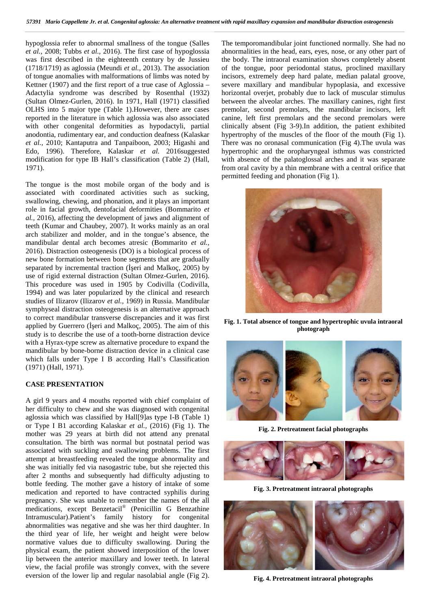hypoglossia refer to abnormal smallness of the tongue (Salles Th *et al.,* 2008; Tubbs *et al.,* 2016). The first case of hypoglossia abn was first described in the eighteenth century by de Jussieu the (1718/1719) as aglossia (Meundi *et al.,* 2013). The association of the first case of was first described in the eighteenth century by de Jussieu (1718/1719) as aglossia (Meundi *et al.,* 2013). The association of tongue anomalies with malformations of limbs was noted by Kettner (1907) and the first report of a true case of Aglossia – Adactylia syndrome was described by Rosenthal (1932) Adactylia syndrome was described by Rosenthal (1932) horiz<br>(Sultan Olmez-Gurlen, 2016). In 1971, Hall (1971) classified betw OLHS into 5 major type (Table 1).However, there are cases reported in the literature in which aglossia was also associated OLHS into 5 major type (Table 1). However, there are cases preported in the literature in which aglossia was also associated cuth other congenital deformities as hypodactyli, partial c anodontia, rudimentary ear, and conduction deafness (Kalaskar anodontia, *et al.,* 2010; Kantaputra and Tanpaiboon, 2003; Higashi and et al., 2010; Kantaputra and Tanpaiboon, 2003; Higashi and Ther<br>Edo, 1996). Therefore, Kalaskar et al. 2016suggested hype modification for type IB Hall's classification (Table 2) (Hall, modification 1971).

The tongue is the most mobile organ of the body and is associated with coordinated activities such as sucking, swallowing, chewing, and phonation, and it plays an important from the tongue is the most mobile organ of the body and is<br>
associated with coordinated activities such as sucking,<br>
swallowing, chewing, and phonation, and it plays an important<br>
role in facial growth, dentofacial deform *al.*, 2016), affecting the development of jaws and alignment of teeth (Kumar and Chaubey, 2007). It works mainly as an oral arch stabilizer and molder, and in the tongue's absence, the arch the mandibular dental arch becomes atresic (Bommarito *et al.*, 2016). Distraction osteogenesis (DO) is a biological process of 2016). new bone formation between bone segments that are gradually new bone formation between bone segments that are gradually separated by incremental traction (eri and Malkoç, 2005) by use of rigid external distraction (Sultan Olmez-Gurlen, 2016). This procedure was used in 1905 by Codivilla (Codivilla, 1994) and was later popularized by the clinical and research use of rigid external distraction (Sultan Olmez-Gurlen, 2016).<br>This procedure was used in 1905 by Codivilla (Codivilla, 1994) and was later popularized by the clinical and research studies of Ilizarov (Ilizarov *et al.*, 1 symphyseal distraction osteogenesis is an alternative approach symphyseal distraction osteogenesis is an alternative approach<br>to correct mandibular transverse discrepancies and it was first applied by Guerrero  $($  eri and Malkoç, 2005). The aim of this study is to describe the use of a tooth-borne distraction device with a Hyrax-type screw as alternative procedure to expand the study is to describe the use of a tooth-borne distraction device<br>with a Hyrax-type screw as alternative procedure to expand the<br>mandibular by bone-borne distraction device in a clinical case which falls under Type I B according Hall's Classification (1971) (Hall, 1971). (1971) ληνικό του πρωταθεί του στην επικεφαλίζεται της προσωπικής του προσωπικής του προσωπικής του προσωπικής του πρωταθεί του πρωταθεί του πρωταθεί του πρωταθεί του πρωταθεί του πρωταθεί του πρωταθεί του πρωταθεί του πρωταθεί **photographs Fig.4.Pretreatment Fig.4.Pretreatment Fig.4.Pretreatment Fig.4.Pretreatment Fig.4.Pretreatment Fig.4.Pretreatment Fig.4.Pretreatment Fig.4.Pretreatment Fig.4.Pretreatment Fig.4.Pretreatment Fig.4.Pretreatment** 

#### $\bf CASE$  **PRESENTATION**

A girl 9 years and 4 mouths reported with chief complaint of A girl 9 years and 4 mouths reported with chief complaint of<br>her difficulty to chew and she was diagnosed with congenital aglossia which was classified by Hall[9]as type I-B (Table 1) or Type I B1 according Kalaskar *et al.,* (2016) (Fig 1). The mother was 29 years at birth did not attend any prenatal consultation. The birth was normal but postnatal period was associated with suckling and swallowing problems. The first attempt at breastfeeding revealed the tongue abnormality and she was initially fed via nasogastric tube, but she rejected this after 2 months and subsequently had difficulty adjusting to bottle feeding. The mother gave a history of intake of some medication and reported to have contracted syphilis during pregnancy. She was unable to remember the names of the all medications, except Benzetacil® (Penicillin G Benzathine Intramuscular). Patient's family history for congenital abnormalities was negative and she was her third daughter. In the third year of life, her weight and height were below normative values due to difficulty swallowing. During the physical exam, the patient showed interposition of the lower lip between the anterior maxillary and lower teeth. In lateral view, the facial profile was strongly convex, with the severe eversion of the lower lip and regular nasolabial angle (Fig 2). aglossia which was classified by Hall[9]as type I-B (Table 1)<br>or Type I B1 according Kalaskar *et al.*, (2016) (Fig 1). The<br>mother was 29 years at birth did not attend any prenatal<br>consultation. The birth was normal but po after 2 months and subsequently had difficulty adjusting to bottle feeding. The mother gave a history of intake of some medication and reported to have contracted syphilis during pregnancy. She was unable to remember the n

The temporomandibular joint functioned normally. She had no abnormalities in the head, ears, eyes, nose, or any other part of the body. The intraoral examination shows completely absent of the tongue, poor periodontal status, proclined maxillary incisors, extremely deep hard palate, median palatal groove, severe maxillary and mandibular hypoplasia, and excessive horizontal overjet, probably due to lack of muscular stimulus between the alveolar arches. The maxillary canines, right first premolar, second premolars, the mandibular incisors, left canine, left first premolars and the second premolars were clinically absent (Fig 3-9).In addition, the patient exhibited hypertrophy of the muscles of the floor of the mouth (Fig 1). There was no oronasal communication (Fig 4).The uvula was hypertrophic and the oropharyngeal isthmus was constricted with absence of the palatoglossal arches and it was separate from oral cavity by a thin membrane with a central orifice that permitted feeding and phonation (Fig 1). hypertrophy of the muscles of the floor of the m<br>There was no oronasal communication (Fig 4).T<br>hypertrophic and the oropharyngeal isthmus wa<br>with absence of the palatoglossal arches and it<br>from oral cavity by a thin membra



**Fig. 1.** Total absence of tongue and hypertrophic uvula intraoral<br>photograph **photograph**



**Fig. 2. Pretreatment facial photographs**



**Fig. 3. Pretreatment intraoral photographs**



**Fig. 4. Pretreatment intraoral photographs**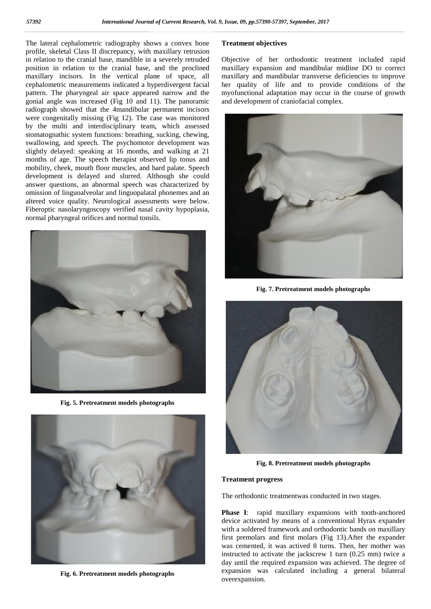The lateral cephalometric radiography shows a convex bone profile, skeletal Class II discrepancy, with maxillary retrusion in relation to the cranial base, mandible in a severely retruded position in relation to the cranial base, and the proclined The lateral cephalometric radiography shows a convex bone<br>profile, skeletal Class II discrepancy, with maxillary retrusion<br>in relation to the cranial base, and the proclined<br>maxillary incisors. In the vertical plane of spa cephalometric measurements indicated a hyperdivergent facial cephalometric measurements indicated a hyperdivergent facial her pattern. The pharyngeal air space appeared narrow and the myord gonial angle was increased (Fig 10 and 11). The panoramic radiograph showed that the 4mandibular permanent incisors were congenitally missing (Fig 12). The case was monitored by the multi and interdisciplinary team, which assessed stomatognathic system functions: breathing, sucking, chewing, swallowing, and speech. The psychomotor development was slightly delayed: speaking at 16 months, and walking at 21 months of age. The speech therapist observed lip tonus and mobility, cheek, mouth floor muscles, and hard palate. Speech development is delayed and slurred. Although she could answer questions, an abnormal speech was characterized by omission of linguoalveolar and linguopalatal phonemes and an altered voice quality. Neurological assessments were below. slightly delayed: speaking at 16 months, and walking at 21 months of age. The speech therapist observed lip tonus and mobility, cheek, mouth floor muscles, and hard palate. Speech development is delayed and slurred. Althou normal pharyngeal orifices and normal tonsils. normal gonial angle was increased (Fig 10 and 11). The panoramic<br>radiograph showed that the 4mandibular permanent incisors<br>were congenitally missing (Fig 12). The case was monitored<br>by the multi and interdisciplinary team, which



**Fig. 5. Pretreatment models photographs**



**Fig. 6. Pretreatment models photographs**

## **Treatment objectives**

Objective of her orthodontic treatment included rapid maxillary expansion and mandibular midline DO to correct maxillary and mandibular transverse deficiencies to improve her quality of life and to provide conditions of the myofunctional adaptation may occur in the course of growth and development of craniofacial complex.



**Fig. 7. Pretreatment models photographs**



**Fig. 8. Pretreatment models photographs**

#### **Treatment progress**

The orthodontic treatmentwas conducted in two stages.

**Phase I**: rapid maxillary expansions with tooth-anchored device activated by means of a conventional Hyrax expander with a soldered framework and orthodontic bands on maxillary first premolars and first molars (Fig 13).After the expander was cemented, it was actived 8 turns. Then, her mother was instructed to activate the jackscrew 1 turn (0.25 mm) twice a day until the required expansion was achieved. The degree of expansion was calculated including a general bilateral overexpansion.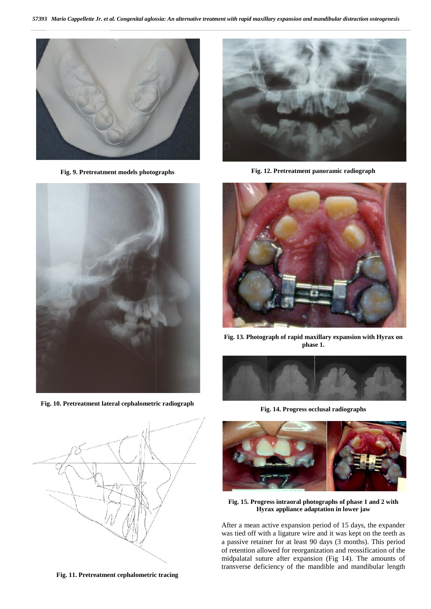

**Fig. 9. Pretreatment models photographs**



**Fig. 10. Pretreatment lateral cephalometric radiograph**



**Fig. 11. Pretreatment cephalometric tracing**



**Fig. 12. Pretreatment panoramic radiograph**



**Fig. 13. Photograph of rapid maxillary expansion with Hyrax on phase 1.**



**Fig. 14. Progress occlusal radiographs**



**Fig. 15. Progress intraoral photographs of phase 1 and 2 with Hyrax appliance adaptation in lower jaw Hyrax appliance adaptation in lower jaw**

After a mean active expansion period of 15 days, the expander was tied off with a ligature wire and it was kept on the teeth as a passive retainer for at least 90 days (3 months). This period of retention allowed for reorganization and reossification of the midpalatal suture after expansion (Fig 14). The amounts of transverse deficiency of the mandible and mandibular length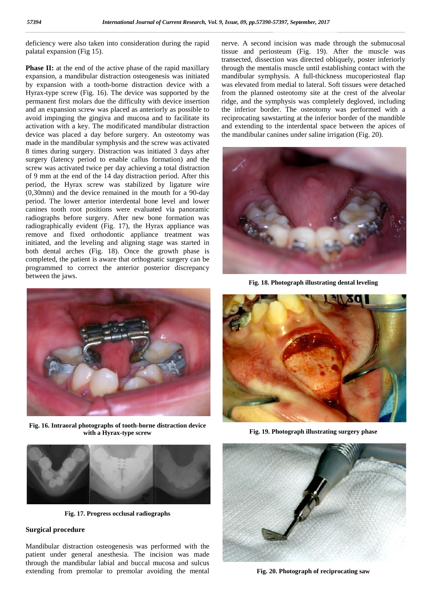deficiency were also taken into consideration during the rapid nerver palatal expansion (Fig 15). palatal expansion (Fig 15).

**Phase II:** at the end of the active phase of the rapid maxillary expansion, a mandibular distraction osteogenesis was initiated by expansion with a tooth-borne distraction device with a Hyrax-type screw (Fig. 16). The device was supported by the permanent first molars due the difficulty with device insertion and an expansion screw was placed as anteriorly as possible to permanent first molars due the difficulty with device insertion rid<br>and an expansion screw was placed as anteriorly as possible to the<br>avoid impinging the gingiva and mucosa and to facilitate its rec activation with a key. The modificated mandibular distraction device was placed a day before surgery. An osteotomy was made in the mandibular symphysis and the screw was activated 8 times during surgery. Distraction was initiated 3 days after surgery (latency period to enable callus formation) and the screw was activated twice per day achieving a total distraction of 9 mm at the end of the 14 day distraction period. After this period, the Hyrax screw was stabilized by ligature wire (0,30mm) and the device remained in the mouth for a 90-day period. The lower anterior interdental bone level and lower canines tooth root positions were evaluated via panoramic radiographs before surgery. After new bone formation was radiographs before surgery. After new bone formation was radiographically evident (Fig. 17), the Hyrax appliance was remove and fixed orthodontic appliance treatment was initiated, and the leveling and aligning stage was started in remove and fixed orthodontic appliance treatment was initiated, and the leveling and aligning stage was started in both dental arches (Fig. 18). Once the growth phase is completed, the patient is aware that orthognatic surgery can be programmed to correct the anterior posterior discrepancy between the jaws. **Phase II:** at the end of the active phase of the rapid maxillary expansion, a mandibular distraction osteogenesis was initiated by expansion with a tooth-borne distraction device with a Hyrax-type screw (Fig. 16). The dev activation with a key. The modificated mandibular distraction are device was placed a day before surgery. An osteotomy was the made in the mandibular symphysis and the screw was activated 8 times during surgery. Distractio surgery (latency period to enable callus formation) and the screw was activated twice per day achieving a total distraction of 9 mm at the end of the 14 day distraction period. After this period, the Hyrax screw was stabil completed, the patient is aware that orthognatic surgery can programmed to correct the anterior posterior discrepan<br>between the jaws.

nerve. A second incision was made through the submucosal tissue and periosteum (Fig. 19). After the muscle was transected, dissection was directed obliquely, poster inferiorly through the mentalis muscle until establishing contact with the mandibular symphysis. A full-thickness mucoperiosteal flap was elevated from medial to lateral. Soft tissues were detached from the planned osteotomy site at the crest of the alveolar ridge, and the symphysis was completely degloved, including the inferior border. The osteotomy was performed with a reciprocating sawstarting at the inferior border of the mandible and extending to the interdental space between the apices of the mandibular canines under saline irrigation (Fig. 20). nerve. A second incision was made through the submucosal<br>tissue and periosteum (Fig. 19). After the muscle was<br>transected, dissection was directed obliquely, poster inferiorly<br>through the mentalis muscle until establishing



**Fig. 18. Photograph illustrating dental leveling** 



**Fig. 16. Intraoral photographs of tooth-borne distraction device 16. devicewith Hyrax-type screwwith a Hyrax-type screw**



**Fig. 17. Progress occlusal radiographs**

#### **Surgical procedure Surgical procedure**

Mandibular distraction osteogenesis was performed with the patient under general anesthesia. The incision was made through the mandibular labial and buccal mucosa and sulcus extending from premolar to premolar avoiding the mental extending from Mandibular distraction osteogenesis was performed with the patient under general anesthesia. The incision was made through the mandibular labial and buccal mucosa and sulcus



**Fig. 19. Photograph illustrating surgery phase**



**Fig. 20. Photograph of reciprocating saw**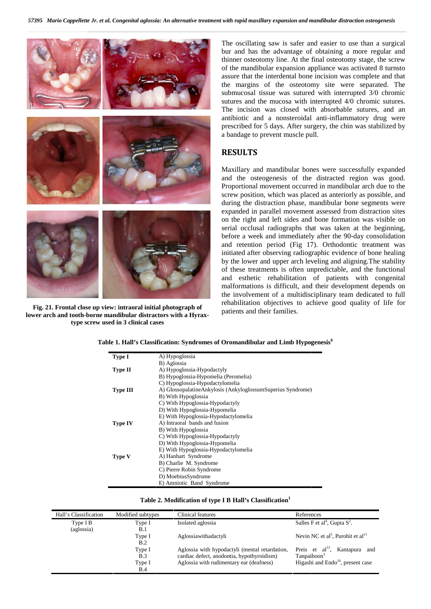

**Fig. 21. Frontal close up view: intraoral initial photograph of lower arch and tooth-borne mandibular distractors with a Hyraxtype screw used in 3 clinical cases**

The oscillating saw is safer and easier to use than a surgical bur and has the advantage of obtaining a more regular and thinner osteotomy line. At the final osteotomy stage, the screw of the mandibular expansion appliance was activated 8 turnsto assure that the interdental bone incision was complete and that the margins of the osteotomy site were separated. The submucosal tissue was sutured with interrupted 3/0 chromic sutures and the mucosa with interrupted 4/0 chromic sutures. The incision was closed with absorbable sutures, and an antibiotic and a nonsteroidal anti-inflammatory drug were prescribed for 5 days. After surgery, the chin was stabilized by a bandage to prevent muscle pull.

## **RESULTS**

Maxillary and mandibular bones were successfully expanded and the osteogenesis of the distracted region was good. Proportional movement occurred in mandibular arch due to the screw position, which was placed as anteriorly as possible, and during the distraction phase, mandibular bone segments were expanded in parallel movement assessed from distraction sites on the right and left sides and bone formation was visible on serial occlusal radiographs that was taken at the beginning, before a week and immediately after the 90-day consolidation and retention period (Fig 17). Orthodontic treatment was initiated after observing radiographic evidence of bone healing by the lower and upper arch leveling and aligning.The stability of these treatments is often unpredictable, and the functional and esthetic rehabilitation of patients with congenital malformations is difficult, and their development depends on the involvement of a multidisciplinary team dedicated to full rehabilitation objectives to achieve good quality of life for patients and their families. Maxillary and mandibular bones were successfully expanded and the osteogenesis of the distracted region was good.<br>Proportional movement occurred in mandibular arch due to the screw position, which was placed as anteriorly arealist treatment with region the matrix different card continue to the Chan of a continue cardiachypote the state of the matrix different contents of the matrix different contents of the matrix of the final contents wit

| <b>Type I</b>   | A) Hypoglossia                                                |  |  |
|-----------------|---------------------------------------------------------------|--|--|
|                 | B) Aglossia                                                   |  |  |
| <b>Type II</b>  | A) Hypoglossia-Hypodactyly                                    |  |  |
|                 | B) Hypoglossia-Hypomelia (Peromelia)                          |  |  |
|                 | C) Hypoglossia-Hypodactylomelia                               |  |  |
| <b>Type III</b> | A) Glossopalatine Ankylosis (Ankyloglossum Superius Syndrome) |  |  |
|                 | B) With Hypoglossia                                           |  |  |
|                 | C) With Hypoglossia-Hypodactyly                               |  |  |
|                 | D) With Hypoglossia-Hypomelia                                 |  |  |
|                 | E) With Hypoglossia-Hypodactylomelia                          |  |  |
| <b>Type IV</b>  | A) Intraoral bands and fusion                                 |  |  |
|                 | B) With Hypoglossia                                           |  |  |
|                 | C) With Hypoglossia-Hypodactyly                               |  |  |
|                 | D) With Hypoglossia-Hypomelia                                 |  |  |
|                 | E) With Hypoglossia-Hypodactylomelia                          |  |  |
| <b>Type V</b>   | A) Hanhart Syndrome                                           |  |  |
|                 | B) Charlie M. Syndrome                                        |  |  |
|                 | C) Pierre Robin Syndrome                                      |  |  |
|                 | D) MoebiusSyndrome                                            |  |  |
|                 | E) Amniotic Band Syndrome                                     |  |  |

**Table 1. Hall's Classification: Syndromes of Oromandibular and Limb Hypogenesis<sup>6</sup> Hall's Classification:** 

| Table 2. Modification of type I B Hall's Classification <sup>1</sup> |  |
|----------------------------------------------------------------------|--|
|----------------------------------------------------------------------|--|

| Hall's Classification | Modified subtypes | Clinical features                              | References                                                |
|-----------------------|-------------------|------------------------------------------------|-----------------------------------------------------------|
| Type I B              | Type I            | Isolated aglossia                              | Salles F et al <sup>4</sup> , Gupta $S^2$ .               |
| (aglossia)            | <b>B.1</b>        |                                                |                                                           |
|                       | Type I            | Aglossiawithadactyli                           | Nevin NC et al <sup>5</sup> , Purohit et al <sup>11</sup> |
|                       | B.2               |                                                |                                                           |
|                       | Type I            | Aglossia with hypodactyli (mental retardation, | Preis et $al^{12}$ , Kantapura and                        |
|                       | B.3               | cardiac defect, anodontia, hypothyroidism)     | Tanpaiboon <sup>3</sup>                                   |
|                       | Type I            | Aglossia with rudimentary ear (deafness)       | Higashi and $\text{Endo}^{10}$ , present case             |
|                       | <b>B.4</b>        |                                                |                                                           |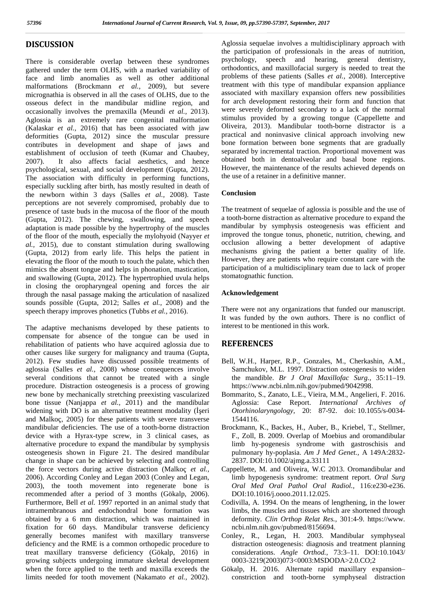## **DISCUSSION**

There is considerable overlap between these syndromes gathered under the term OLHS, with a marked variability of face and limb anomalies as well as other additional malformations (Brockmann *et al.,* 2009), but severe micrognathia is observed in all the cases of OLHS, due to the osseous defect in the mandibular midline region, and occasionally involves the premaxilla (Meundi *et al.,* 2013). Aglossia is an extremely rare congenital malformation (Kalaskar *et al.,* 2016) that has been associated with jaw deformities (Gupta, 2012) since the muscular pressure contributes in development and shape of jaws and establishment of occlusion of teeth (Kumar and Chaubey, 2007). It also affects facial aesthetics, and hence psychological, sexual, and social development (Gupta, 2012). The association with difficulty in performing functions, especially suckling after birth, has mostly resulted in death of the newborn within 3 days (Salles *et al.,* 2008). Taste perceptions are not severely compromised, probably due to presence of taste buds in the mucosa of the floor of the mouth (Gupta, 2012). The chewing, swallowing, and speech adaptation is made possible by the hypertrophy of the muscles of the floor of the mouth, especially the mylohyoid (Nayyer *et al.,* 2015), due to constant stimulation during swallowing (Gupta, 2012) from early life. This helps the patient in elevating the floor of the mouth to touch the palate, which then mimics the absent tongue and helps in phonation, mastication, and swallowing (Gupta, 2012). The hypertrophied uvula helps in closing the oropharyngeal opening and forces the air through the nasal passage making the articulation of nasalized sounds possible (Gupta, 2012; Salles *et al.,* 2008) and the speech therapy improves phonetics (Tubbs *et al.,* 2016).

The adaptive mechanisms developed by these patients to compensate for absence of the tongue can be used in rehabilitation of patients who have acquired aglossia due to other causes like surgery for malignancy and trauma (Gupta, 2012). Few studies have discussed possible treatments of aglossia (Salles *et al.,* 2008) whose consequences involve several conditions that cannot be treated with a single procedure. Distraction osteogenesis is a process of growing new bone by mechanically stretching preexisting vascularized bone tissue (Nanjappa *et al.,* 2011) and the mandibular widening with DO is an alternative treatment modality (eri and Malkoç, 2005) for these patients with severe transverse mandibular deficiencies. The use of a tooth-borne distraction device with a Hyrax-type screw, in 3 clinical cases, as alternative procedure to expand the mandibular by symphysis osteogenesis shown in Figure 21. The desired mandibular change in shape can be achieved by selecting and controlling the force vectors during active distraction (Malkoç *et al.,* 2006). According Conley and Legan 2003 (Conley and Legan, 2003), the tooth movement into regenerate bone is recommended after a period of 3 months (Gökalp, 2006). Furthermore, Bell *et al.* 1997 reported in an animal study that intramembranous and endochondral bone formation was obtained by a 6 mm distraction, which was maintained in fixation for 60 days. Mandibular transverse deficiency generally becomes manifest with maxillary transverse deficiency and the RME is a common orthopedic procedure to treat maxillary transverse deficiency (Gökalp, 2016) in growing subjects undergoing immature skeletal development when the force applied to the teeth and maxilla exceeds the limits needed for tooth movement (Nakamato *et al.,* 2002).

Aglossia sequelae involves a multidisciplinary approach with the participation of professionals in the areas of nutrition, psychology, speech and hearing, general dentistry, orthodontics, and maxillofacial surgery is needed to treat the problems of these patients (Salles *et al.,* 2008). Interceptive treatment with this type of mandibular expansion appliance associated with maxillary expansion offers new possibilities for arch development restoring their form and function that were severely deformed secondary to a lack of the normal stimulus provided by a growing tongue (Cappellette and Oliveira, 2013). Mandibular tooth-borne distractor is a practical and noninvasive clinical approach involving new bone formation between bone segments that are gradually separated by incremental traction. Proportional movement was obtained both in dentoalveolar and basal bone regions. However, the maintenance of the results achieved depends on the use of a retainer in a definitive manner.

### **Conclusion**

The treatment of sequelae of aglossia is possible and the use of a tooth-borne distraction as alternative procedure to expand the mandibular by symphysis osteogenesis was efficient and improved the tongue tonus, phonetic, nutrition, chewing, and occlusion allowing a better development of adaptive mechanisms giving the patient a better quality of life. However, they are patients who require constant care with the participation of a multidisciplinary team due to lack of proper stomatognathic function.

## **Acknowledgement**

There were not any organizations that funded our manuscript. It was funded by the own authors. There is no conflict of interest to be mentioned in this work.

## **REFERENCES**

- Bell, W.H., Harper, R.P., Gonzales, M., Cherkashin, A.M., Samchukov, M.L. 1997. Distraction osteogenesis to widen the mandible. *Br J Oral Maxillofac Surg.,* 35:11–19. https://www.ncbi.nlm.nih.gov/pubmed/9042998.
- Bommarito, S., Zanato, L.E., Vieira, M.M., Angelieri, F. 2016. Aglossia: Case Report. *International Archives of Otorhinolaryngology,* 20: 87-92. doi: 10.1055/s-0034- 1544116.
- Brockmann, K., Backes, H., Auber, B., Kriebel, T., Stellmer, F., Zoll, B. 2009. Overlap of Moebius and oromandibular limb hy-pogenesis syndrome with gastroschisis and pulmonary hy-poplasia. *Am J Med Genet.,* A 149A:2832- 2837. DOI:10.1002/ajmg.a.33111
- Cappellette, M. and Oliveira, W.C 2013. Oromandibular and limb hypogenesis syndrome: treatment report. *Oral Surg Oral Med Oral Pathol Oral Radiol.,* 116:e230-e236. DOI:10.1016/j.oooo.2011.12.025.
- Codivilla, A. 1994. On the means of lengthening, in the lower limbs, the muscles and tissues which are shortened through deformity. *Clin Orthop Relat Res.,* 301:4-9. https://www. ncbi.nlm.nih.gov/pubmed/8156694.
- Conley, R., Legan, H. 2003. Mandibular symphyseal distraction osteogenesis: diagnosis and treatment planning considerations. *Angle Orthod.,* 73:3–11. DOI:10.1043/ 0003-3219(2003)073<0003:MSDODA>2.0.CO;2
- Gökalp, H. 2016. Alternate rapid maxillary expansion– constriction and tooth-borne symphyseal distraction